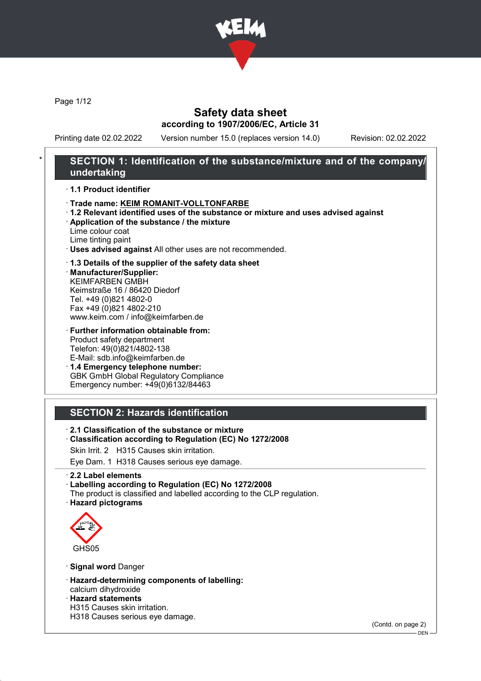

Page 1/12

# Safety data sheet according to 1907/2006/EC, Article 31

Printing date 02.02.2022 Version number 15.0 (replaces version 14.0) Revision: 02.02.2022

# SECTION 1: Identification of the substance/mixture and of the company/ undertaking

#### · 1.1 Product identifier

- · Trade name: KEIM ROMANIT-VOLLTONFARBE
- · 1.2 Relevant identified uses of the substance or mixture and uses advised against
- · Application of the substance / the mixture

Lime colour coat Lime tinting paint

· Uses advised against All other uses are not recommended.

#### · 1.3 Details of the supplier of the safety data sheet

· Manufacturer/Supplier: KEIMFARBEN GMBH Keimstraße 16 / 86420 Diedorf Tel. +49 (0)821 4802-0 Fax +49 (0)821 4802-210 www.keim.com / info@keimfarben.de

· Further information obtainable from: Product safety department Telefon: 49(0)821/4802-138 E-Mail: sdb.info@keimfarben.de

· 1.4 Emergency telephone number: GBK GmbH Global Regulatory Compliance Emergency number: +49(0)6132/84463

### SECTION 2: Hazards identification

- · 2.1 Classification of the substance or mixture
- · Classification according to Regulation (EC) No 1272/2008
- Skin Irrit. 2 H315 Causes skin irritation.

Eye Dam. 1 H318 Causes serious eye damage.

#### · 2.2 Label elements

· Labelling according to Regulation (EC) No 1272/2008

The product is classified and labelled according to the CLP regulation.

· Hazard pictograms



· Signal word Danger

- · Hazard-determining components of labelling: calcium dihydroxide
- · Hazard statements H315 Causes skin irritation. H318 Causes serious eye damage.

(Contd. on page 2)

DEN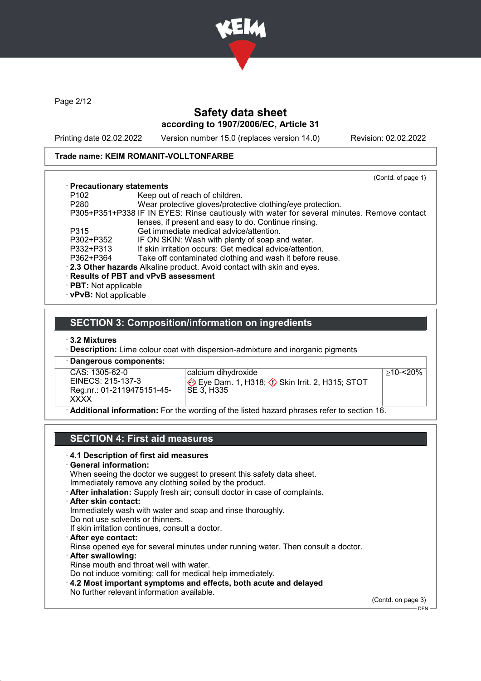

Page 2/12

# Safety data sheet according to 1907/2006/EC, Article 31

Printing date 02.02.2022 Version number 15.0 (replaces version 14.0) Revision: 02.02.2022

#### Trade name: KEIM ROMANIT-VOLLTONFARBE

|                             | (Contd. of page 1)                                                                         |
|-----------------------------|--------------------------------------------------------------------------------------------|
| · Precautionary statements  |                                                                                            |
| P <sub>102</sub>            | Keep out of reach of children.                                                             |
| P <sub>280</sub>            | Wear protective gloves/protective clothing/eye protection.                                 |
|                             | P305+P351+P338 IF IN EYES: Rinse cautiously with water for several minutes. Remove contact |
|                             | lenses, if present and easy to do. Continue rinsing.                                       |
| P315                        | Get immediate medical advice/attention.                                                    |
| P302+P352                   | IF ON SKIN: Wash with plenty of soap and water.                                            |
| P332+P313                   | If skin irritation occurs: Get medical advice/attention.                                   |
| P362+P364                   | Take off contaminated clothing and wash it before reuse.                                   |
|                             | . 2.3 Other hazards Alkaline product. Avoid contact with skin and eyes.                    |
|                             | <b>Results of PBT and vPvB assessment</b>                                                  |
| $\cdot$ PBT: Not applicable |                                                                                            |
| · vPvB: Not applicable      |                                                                                            |

### SECTION 3: Composition/information on ingredients

· 3.2 Mixtures

**Description:** Lime colour coat with dispersion-admixture and inorganic pigments

Dangerous components: CAS: 1305-62-0 EINECS: 215-137-3 Reg.nr.: 01-2119475151-45- XXXX

| calcium dihydroxide               |  |
|-----------------------------------|--|
| Eye Dam. 1, H318; <<br>SE 3, H335 |  |

 $\hat{D}$  Skin Irrit. 2, H315; STOT

 $>10-20%$ 

· Additional information: For the wording of the listed hazard phrases refer to section 16.

### SECTION 4: First aid measures

#### · 4.1 Description of first aid measures

· General information:

When seeing the doctor we suggest to present this safety data sheet.

Immediately remove any clothing soiled by the product.

· After inhalation: Supply fresh air; consult doctor in case of complaints.

#### · After skin contact:

Immediately wash with water and soap and rinse thoroughly.

Do not use solvents or thinners.

- If skin irritation continues, consult a doctor.
- · After eye contact:

Rinse opened eye for several minutes under running water. Then consult a doctor.

· After swallowing: Rinse mouth and throat well with water.

Do not induce vomiting; call for medical help immediately.

· 4.2 Most important symptoms and effects, both acute and delayed No further relevant information available.

(Contd. on page 3)

 $-$  DEN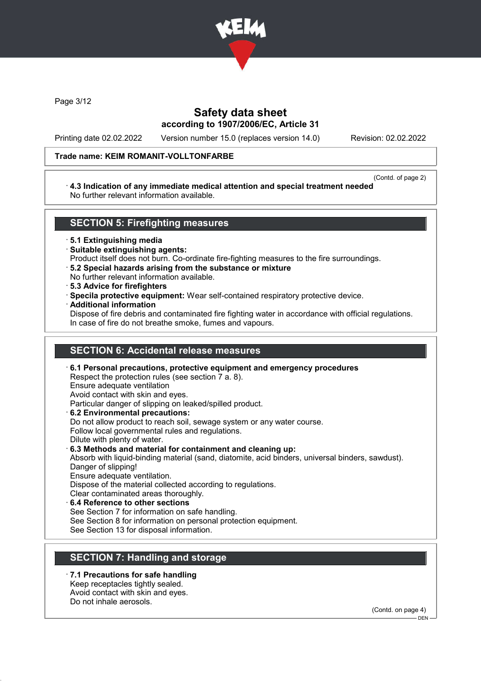

Page 3/12

# Safety data sheet according to 1907/2006/EC, Article 31

Printing date 02.02.2022 Version number 15.0 (replaces version 14.0) Revision: 02.02.2022

#### Trade name: KEIM ROMANIT-VOLLTONFARBE

(Contd. of page 2)

#### · 4.3 Indication of any immediate medical attention and special treatment needed No further relevant information available.

### SECTION 5: Firefighting measures

· 5.1 Extinguishing media

- · Suitable extinguishing agents:
- Product itself does not burn. Co-ordinate fire-fighting measures to the fire surroundings.
- · 5.2 Special hazards arising from the substance or mixture
- No further relevant information available.
- · 5.3 Advice for firefighters
- · Specila protective equipment: Wear self-contained respiratory protective device.
- · Additional information

Dispose of fire debris and contaminated fire fighting water in accordance with official regulations. In case of fire do not breathe smoke, fumes and vapours.

# SECTION 6: Accidental release measures

· 6.1 Personal precautions, protective equipment and emergency procedures Respect the protection rules (see section 7 a. 8). Ensure adequate ventilation Avoid contact with skin and eyes. Particular danger of slipping on leaked/spilled product. · 6.2 Environmental precautions: Do not allow product to reach soil, sewage system or any water course. Follow local governmental rules and regulations. Dilute with plenty of water. · 6.3 Methods and material for containment and cleaning up: Absorb with liquid-binding material (sand, diatomite, acid binders, universal binders, sawdust). Danger of slipping! Ensure adequate ventilation. Dispose of the material collected according to regulations. Clear contaminated areas thoroughly. 6.4 Reference to other sections See Section 7 for information on safe handling. See Section 8 for information on personal protection equipment. See Section 13 for disposal information.

# SECTION 7: Handling and storage

- 7.1 Precautions for safe handling Keep receptacles tightly sealed. Avoid contact with skin and eyes.
- Do not inhale aerosols.

(Contd. on page 4)  $-$  DEN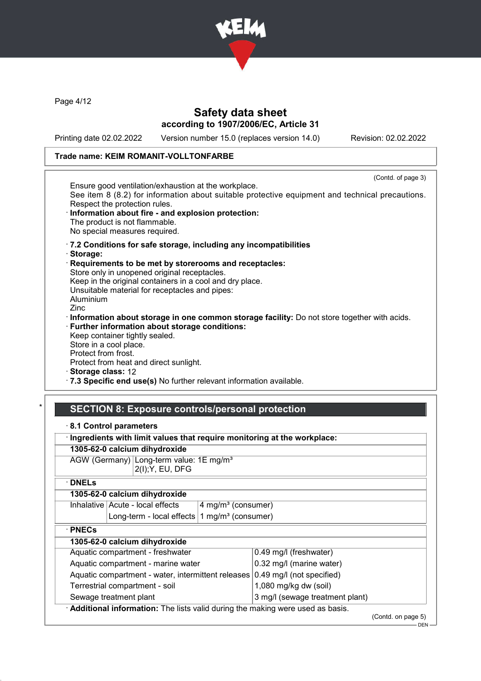

Page 4/12

# Safety data sheet according to 1907/2006/EC, Article 31

Printing date 02.02.2022 Version number 15.0 (replaces version 14.0) Revision: 02.02.2022

# Trade name: KEIM ROMANIT-VOLLTONFARBE

| Ensure good ventilation/exhaustion at the workplace.<br>See item 8 (8.2) for information about suitable protective equipment and technical precautions.<br>Respect the protection rules.<br>Information about fire - and explosion protection:<br>The product is not flammable. | (Contd. of page 3) |
|---------------------------------------------------------------------------------------------------------------------------------------------------------------------------------------------------------------------------------------------------------------------------------|--------------------|
| No special measures required.                                                                                                                                                                                                                                                   |                    |
| .7.2 Conditions for safe storage, including any incompatibilities                                                                                                                                                                                                               |                    |
| · Storage:                                                                                                                                                                                                                                                                      |                    |
| Requirements to be met by storerooms and receptacles:                                                                                                                                                                                                                           |                    |
| Store only in unopened original receptacles.                                                                                                                                                                                                                                    |                    |
| Keep in the original containers in a cool and dry place.                                                                                                                                                                                                                        |                    |
| Unsuitable material for receptacles and pipes:                                                                                                                                                                                                                                  |                    |
| Aluminium<br>Zinc                                                                                                                                                                                                                                                               |                    |
|                                                                                                                                                                                                                                                                                 |                    |
| Information about storage in one common storage facility: Do not store together with acids.<br>· Further information about storage conditions:                                                                                                                                  |                    |
| Keep container tightly sealed.                                                                                                                                                                                                                                                  |                    |
| Store in a cool place.                                                                                                                                                                                                                                                          |                    |
| Protect from frost.                                                                                                                                                                                                                                                             |                    |
| Protect from heat and direct sunlight.                                                                                                                                                                                                                                          |                    |
| · Storage class: 12                                                                                                                                                                                                                                                             |                    |
| .7.3 Specific end use(s) No further relevant information available.                                                                                                                                                                                                             |                    |

# SECTION 8: Exposure controls/personal protection

| 8.1 Control parameters |  |
|------------------------|--|
|------------------------|--|

| · Ingredients with limit values that require monitoring at the workplace:     |                                                                         |                                |                        |                    |
|-------------------------------------------------------------------------------|-------------------------------------------------------------------------|--------------------------------|------------------------|--------------------|
| 1305-62-0 calcium dihydroxide                                                 |                                                                         |                                |                        |                    |
|                                                                               | AGW (Germany) Long-term value: 1E mg/m <sup>3</sup><br>2(I); Y, EU, DFG |                                |                        |                    |
| $\cdot$ DNELs                                                                 |                                                                         |                                |                        |                    |
| 1305-62-0 calcium dihydroxide                                                 |                                                                         |                                |                        |                    |
|                                                                               | Inhalative   Acute - local effects                                      | 4 mg/m <sup>3</sup> (consumer) |                        |                    |
|                                                                               | Long-term - local effects                                               | 1 mg/m <sup>3</sup> (consumer) |                        |                    |
| $\cdot$ PNECs                                                                 |                                                                         |                                |                        |                    |
| 1305-62-0 calcium dihydroxide                                                 |                                                                         |                                |                        |                    |
|                                                                               | Aquatic compartment - freshwater                                        |                                | 0.49 mg/l (freshwater) |                    |
| Aquatic compartment - marine water                                            |                                                                         | 0.32 mg/l (marine water)       |                        |                    |
| Aquatic compartment - water, intermittent releases                            |                                                                         | 0.49 mg/l (not specified)      |                        |                    |
| Terrestrial compartment - soil                                                |                                                                         | 1,080 mg/kg dw (soil)          |                        |                    |
| 3 mg/l (sewage treatment plant)<br>Sewage treatment plant                     |                                                                         |                                |                        |                    |
| Additional information: The lists valid during the making were used as basis. |                                                                         |                                |                        |                    |
|                                                                               |                                                                         |                                |                        | (Contd. on page 5) |

DEN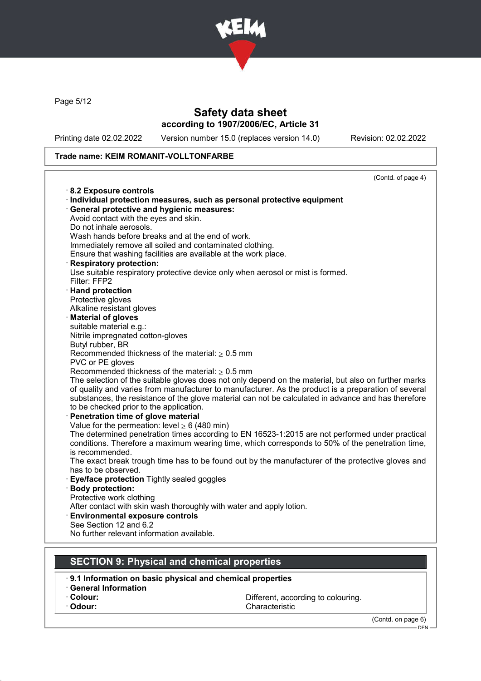

Page 5/12

### Safety data sheet according to 1907/2006/EC, Article 31

Printing date 02.02.2022 Version number 15.0 (replaces version 14.0) Revision: 02.02.2022

#### Trade name: KEIM ROMANIT-VOLLTONFARBE

(Contd. of page 4) · 8.2 Exposure controls · Individual protection measures, such as personal protective equipment · General protective and hygienic measures: Avoid contact with the eyes and skin. Do not inhale aerosols. Wash hands before breaks and at the end of work. Immediately remove all soiled and contaminated clothing. Ensure that washing facilities are available at the work place. **Respiratory protection:** Use suitable respiratory protective device only when aerosol or mist is formed. Filter: FFP2 · Hand protection Protective gloves Alkaline resistant gloves **Material of gloves** suitable material e.g.: Nitrile impregnated cotton-gloves Butyl rubber, BR Recommended thickness of the material:  $\geq 0.5$  mm PVC or PE gloves Recommended thickness of the material:  $\geq 0.5$  mm The selection of the suitable gloves does not only depend on the material, but also on further marks of quality and varies from manufacturer to manufacturer. As the product is a preparation of several substances, the resistance of the glove material can not be calculated in advance and has therefore to be checked prior to the application. Penetration time of glove material Value for the permeation: level  $\geq 6$  (480 min) The determined penetration times according to EN 16523-1:2015 are not performed under practical conditions. Therefore a maximum wearing time, which corresponds to 50% of the penetration time, is recommended. The exact break trough time has to be found out by the manufacturer of the protective gloves and has to be observed. Eye/face protection Tightly sealed goggles Body protection: Protective work clothing After contact with skin wash thoroughly with water and apply lotion. Environmental exposure controls See Section 12 and 6.2 No further relevant information available. SECTION 9: Physical and chemical properties

· 9.1 Information on basic physical and chemical properties

- · General Information
- 

**Colour:** Colour: Different, according to colouring.<br>
Characteristic Colour: Characteristic

(Contd. on page 6)

DEN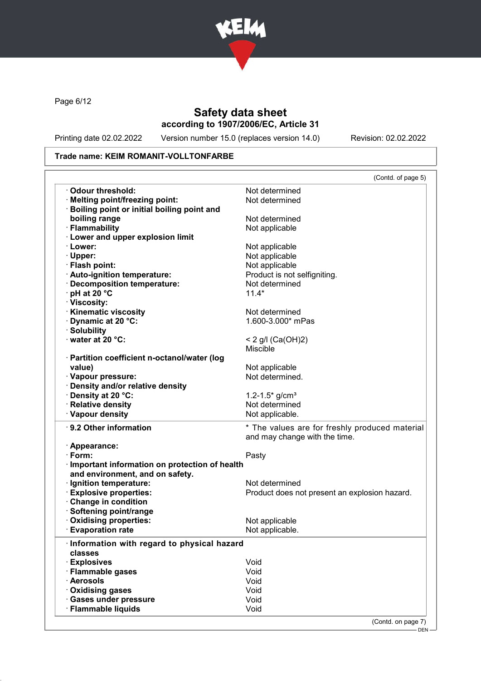

Page 6/12

# Safety data sheet according to 1907/2006/EC, Article 31

Printing date 02.02.2022 Version number 15.0 (replaces version 14.0) Revision: 02.02.2022

### Trade name: KEIM ROMANIT-VOLLTONFARBE

|                                                   | (Contd. of page 5)                             |
|---------------------------------------------------|------------------------------------------------|
| Odour threshold:                                  | Not determined                                 |
| · Melting point/freezing point:                   | Not determined                                 |
| <b>Boiling point or initial boiling point and</b> |                                                |
| boiling range                                     | Not determined                                 |
| · Flammability                                    | Not applicable                                 |
| <b>Lower and upper explosion limit</b>            |                                                |
| · Lower:                                          | Not applicable                                 |
| $\cdot$ Upper:                                    | Not applicable                                 |
| · Flash point:                                    | Not applicable                                 |
| · Auto-ignition temperature:                      | Product is not selfigniting.                   |
| Decomposition temperature:                        | Not determined                                 |
| $\cdot$ pH at 20 $\degree$ C                      | $11.4*$                                        |
| · Viscosity:                                      |                                                |
| <b>Kinematic viscosity</b>                        | Not determined                                 |
| Dynamic at 20 °C:                                 | 1.600-3.000* mPas                              |
| · Solubility                                      |                                                |
| water at 20 °C:                                   | < 2 g/l (Ca(OH)2)                              |
|                                                   | <b>Miscible</b>                                |
| · Partition coefficient n-octanol/water (log      |                                                |
| value)                                            | Not applicable                                 |
| · Vapour pressure:                                | Not determined.                                |
| · Density and/or relative density                 |                                                |
| · Density at 20 °C:                               | 1.2-1.5 $*$ g/cm <sup>3</sup>                  |
| · Relative density                                | Not determined                                 |
| · Vapour density                                  | Not applicable.                                |
| $\cdot$ 9.2 Other information                     | * The values are for freshly produced material |
|                                                   | and may change with the time.                  |
| · Appearance:                                     |                                                |
| $\cdot$ Form:                                     | Pasty                                          |
| · Important information on protection of health   |                                                |
| and environment, and on safety.                   |                                                |
| · Ignition temperature:                           | Not determined                                 |
| <b>Explosive properties:</b>                      | Product does not present an explosion hazard.  |
| Change in condition                               |                                                |
| · Softening point/range                           |                                                |
|                                                   |                                                |
| Oxidising properties:                             | Not applicable                                 |
| <b>Evaporation rate</b>                           | Not applicable.                                |
|                                                   |                                                |
| Information with regard to physical hazard        |                                                |
| classes                                           |                                                |
|                                                   | Void                                           |
|                                                   | Void                                           |
| · Explosives<br>· Flammable gases<br>· Aerosols   | Void                                           |
| Oxidising gases                                   | Void                                           |
| · Gases under pressure<br>· Flammable liquids     | Void<br>Void                                   |

(Contd. on page 7)

DEN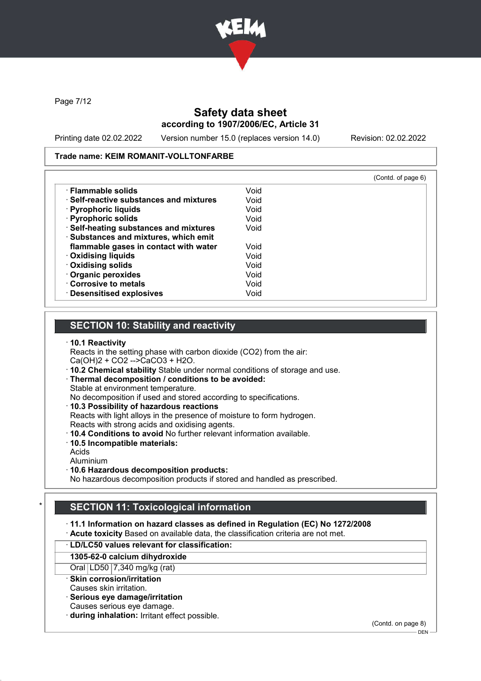

Page 7/12

# Safety data sheet according to 1907/2006/EC, Article 31

Printing date 02.02.2022 Version number 15.0 (replaces version 14.0) Revision: 02.02.2022

#### Trade name: KEIM ROMANIT-VOLLTONFARBE

|                                               |      | (Contd. of page 6) |
|-----------------------------------------------|------|--------------------|
| $\cdot$ Flammable solids                      | Void |                    |
| $\cdot$ Self-reactive substances and mixtures | Void |                    |
| · Pyrophoric liquids                          | Void |                    |
| · Pyrophoric solids                           | Void |                    |
| · Self-heating substances and mixtures        | Void |                    |
| · Substances and mixtures, which emit         |      |                    |
| flammable gases in contact with water         | Void |                    |
| <b>Oxidising liquids</b>                      | Void |                    |
| <b>Oxidising solids</b>                       | Void |                    |
| Organic peroxides                             | Void |                    |
| Corrosive to metals                           | Void |                    |
| · Desensitised explosives                     | Void |                    |

### SECTION 10: Stability and reactivity

#### · 10.1 Reactivity

Reacts in the setting phase with carbon dioxide (CO2) from the air: Ca(OH)2 + CO2 -->CaCO3 + H2O.

· 10.2 Chemical stability Stable under normal conditions of storage and use.

· Thermal decomposition / conditions to be avoided:

Stable at environment temperature.

No decomposition if used and stored according to specifications.

· 10.3 Possibility of hazardous reactions

Reacts with light alloys in the presence of moisture to form hydrogen. Reacts with strong acids and oxidising agents.

· 10.4 Conditions to avoid No further relevant information available.

- · 10.5 Incompatible materials:
- Acids

Aluminium

· 10.6 Hazardous decomposition products:

No hazardous decomposition products if stored and handled as prescribed.

# **SECTION 11: Toxicological information**

· 11.1 Information on hazard classes as defined in Regulation (EC) No 1272/2008

· Acute toxicity Based on available data, the classification criteria are not met.

#### · LD/LC50 values relevant for classification:

#### 1305-62-0 calcium dihydroxide

Oral LD50 7,340 mg/kg (rat)

· Skin corrosion/irritation

- Causes skin irritation.
- Serious eye damage/irritation Causes serious eye damage.
- 
- during inhalation: Irritant effect possible.

(Contd. on page 8)  $-$  DFN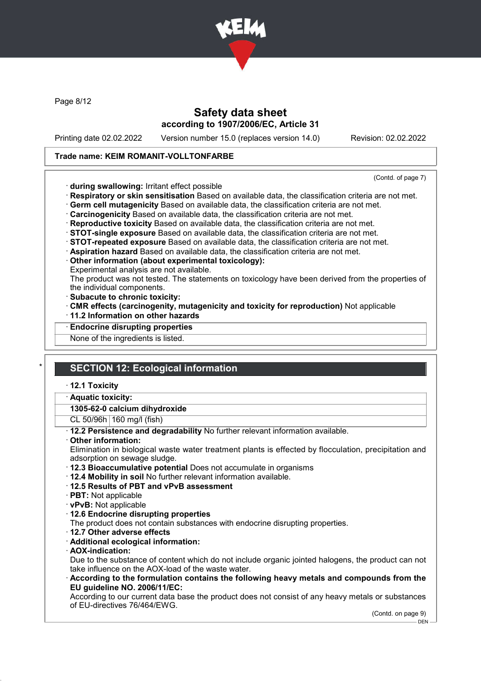

Page 8/12

### Safety data sheet according to 1907/2006/EC, Article 31

Printing date 02.02.2022 Version number 15.0 (replaces version 14.0) Revision: 02.02.2022

#### Trade name: KEIM ROMANIT-VOLLTONFARBE

(Contd. of page 7)

- · during swallowing: Irritant effect possible
- · Respiratory or skin sensitisation Based on available data, the classification criteria are not met.
- · Germ cell mutagenicity Based on available data, the classification criteria are not met.
- · Carcinogenicity Based on available data, the classification criteria are not met.
- · Reproductive toxicity Based on available data, the classification criteria are not met.
- · STOT-single exposure Based on available data, the classification criteria are not met.
- · STOT-repeated exposure Based on available data, the classification criteria are not met.
- · Aspiration hazard Based on available data, the classification criteria are not met.
- · Other information (about experimental toxicology):

Experimental analysis are not available.

The product was not tested. The statements on toxicology have been derived from the properties of the individual components.

- · Subacute to chronic toxicity:
- · CMR effects (carcinogenity, mutagenicity and toxicity for reproduction) Not applicable
- · 11.2 Information on other hazards
- **Endocrine disrupting properties**
- None of the ingredients is listed.

### **SECTION 12: Ecological information**

#### · 12.1 Toxicity

Aquatic toxicity:

1305-62-0 calcium dihydroxide

CL 50/96h 160 mg/l (fish)

· 12.2 Persistence and degradability No further relevant information available.

Other information:

Elimination in biological waste water treatment plants is effected by flocculation, precipitation and adsorption on sewage sludge.

- · 12.3 Bioaccumulative potential Does not accumulate in organisms
- · 12.4 Mobility in soil No further relevant information available.
- · 12.5 Results of PBT and vPvB assessment
- · PBT: Not applicable
- · vPvB: Not applicable
- · 12.6 Endocrine disrupting properties
- The product does not contain substances with endocrine disrupting properties.
- · 12.7 Other adverse effects
- · Additional ecological information:
- · AOX-indication:

Due to the substance of content which do not include organic jointed halogens, the product can not take influence on the AOX-load of the waste water.

· According to the formulation contains the following heavy metals and compounds from the EU guideline NO. 2006/11/EC:

According to our current data base the product does not consist of any heavy metals or substances of EU-directives 76/464/EWG.

(Contd. on page 9)

DEN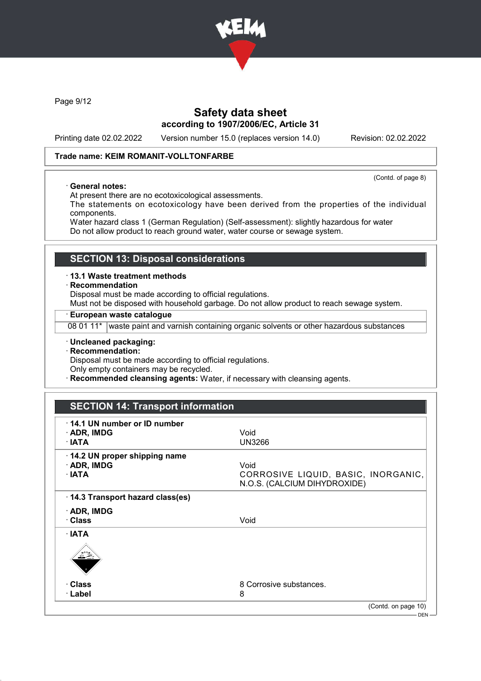

Page 9/12

# Safety data sheet according to 1907/2006/EC, Article 31

Printing date 02.02.2022 Version number 15.0 (replaces version 14.0) Revision: 02.02.2022

(Contd. of page 8)

### Trade name: KEIM ROMANIT-VOLLTONFARBE

· General notes:

At present there are no ecotoxicological assessments.

The statements on ecotoxicology have been derived from the properties of the individual components.

Water hazard class 1 (German Regulation) (Self-assessment): slightly hazardous for water Do not allow product to reach ground water, water course or sewage system.

### SECTION 13: Disposal considerations

· 13.1 Waste treatment methods

· Recommendation

Disposal must be made according to official regulations.

Must not be disposed with household garbage. Do not allow product to reach sewage system.

· European waste catalogue

08 01 11\* waste paint and varnish containing organic solvents or other hazardous substances

- · Uncleaned packaging:
- · Recommendation:

Disposal must be made according to official regulations.

Only empty containers may be recycled.

**Recommended cleansing agents:** Water, if necessary with cleansing agents.

| 14.1 UN number or ID number     |                                     |
|---------------------------------|-------------------------------------|
| $\cdot$ ADR, IMDG               | Void                                |
| · IATA                          | <b>UN3266</b>                       |
| 14.2 UN proper shipping name    |                                     |
| · ADR, IMDG                     | Void                                |
| $\cdot$ IATA                    | CORROSIVE LIQUID, BASIC, INORGANIC, |
|                                 | N.O.S. (CALCIUM DIHYDROXIDE)        |
| 14.3 Transport hazard class(es) |                                     |
| $\cdot$ ADR, IMDG               |                                     |
| · Class                         | Void                                |
| $\cdot$ IATA                    |                                     |
| $\frac{1}{\sqrt{2}}$            |                                     |
| · Class                         | 8 Corrosive substances.             |
| · Label                         | 8                                   |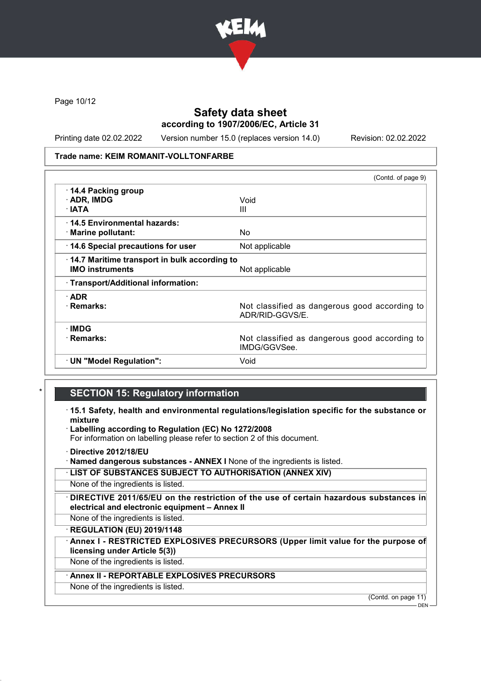

Page 10/12

# Safety data sheet according to 1907/2006/EC, Article 31

Printing date 02.02.2022 Version number 15.0 (replaces version 14.0) Revision: 02.02.2022

#### Trade name: KEIM ROMANIT-VOLLTONFARBE

|                                              | (Contd. of page 9)                                               |
|----------------------------------------------|------------------------------------------------------------------|
| 14.4 Packing group                           |                                                                  |
| · ADR, IMDG                                  | Void                                                             |
| $\cdot$ IATA                                 | Ш                                                                |
| 14.5 Environmental hazards:                  |                                                                  |
| · Marine pollutant:                          | No.                                                              |
| 14.6 Special precautions for user            | Not applicable                                                   |
| 14.7 Maritime transport in bulk according to |                                                                  |
| <b>IMO instruments</b>                       | Not applicable                                                   |
| · Transport/Additional information:          |                                                                  |
| $\cdot$ ADR                                  |                                                                  |
| · Remarks:                                   | Not classified as dangerous good according to<br>ADR/RID-GGVS/E. |
| ∙IMDG                                        |                                                                  |
| · Remarks:                                   | Not classified as dangerous good according to<br>IMDG/GGVSee.    |
| $\cdot$ UN "Model Regulation":               | Void                                                             |
|                                              |                                                                  |

### **SECTION 15: Regulatory information**

· 15.1 Safety, health and environmental regulations/legislation specific for the substance or mixture

· Labelling according to Regulation (EC) No 1272/2008 For information on labelling please refer to section 2 of this document.

- · Directive 2012/18/EU
- · Named dangerous substances ANNEX I None of the ingredients is listed.
- · LIST OF SUBSTANCES SUBJECT TO AUTHORISATION (ANNEX XIV)

None of the ingredients is listed.

DIRECTIVE 2011/65/EU on the restriction of the use of certain hazardous substances in electrical and electronic equipment – Annex II

None of the ingredients is listed.

· REGULATION (EU) 2019/1148

Annex I - RESTRICTED EXPLOSIVES PRECURSORS (Upper limit value for the purpose of licensing under Article 5(3))

None of the ingredients is listed.

### Annex II - REPORTABLE EXPLOSIVES PRECURSORS

None of the ingredients is listed.

(Contd. on page 11)

<sup>-</sup> DEN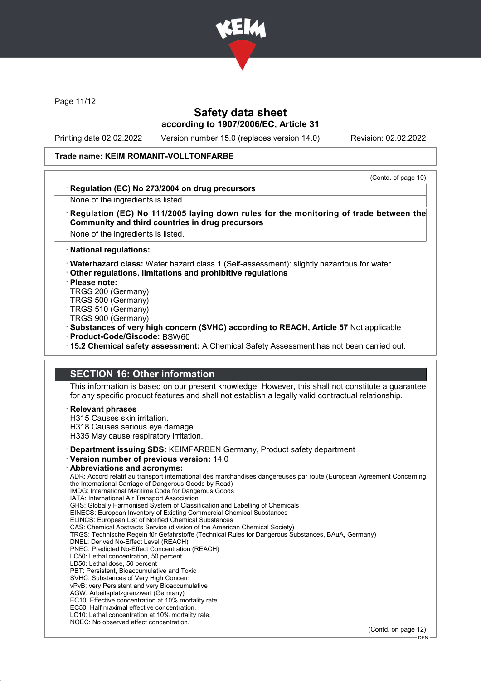

Page 11/12

# Safety data sheet according to 1907/2006/EC, Article 31

Printing date 02.02.2022 Version number 15.0 (replaces version 14.0) Revision: 02.02.2022

#### Trade name: KEIM ROMANIT-VOLLTONFARBE

(Contd. of page 10)

#### Regulation (EC) No 273/2004 on drug precursors

None of the ingredients is listed.

#### Regulation (EC) No 111/2005 laying down rules for the monitoring of trade between the Community and third countries in drug precursors

None of the ingredients is listed.

· National regulations:

· Waterhazard class: Water hazard class 1 (Self-assessment): slightly hazardous for water.

· Other regulations, limitations and prohibitive regulations

· Please note:

TRGS 200 (Germany)

TRGS 500 (Germany)

TRGS 510 (Germany)

TRGS 900 (Germany)

· Substances of very high concern (SVHC) according to REACH, Article 57 Not applicable · Product-Code/Giscode: BSW60

· 15.2 Chemical safety assessment: A Chemical Safety Assessment has not been carried out.

### SECTION 16: Other information

This information is based on our present knowledge. However, this shall not constitute a guarantee for any specific product features and shall not establish a legally valid contractual relationship.

#### **Relevant phrases**

H315 Causes skin irritation.

H318 Causes serious eye damage. H335 May cause respiratory irritation.

· Department issuing SDS: KEIMFARBEN Germany, Product safety department

· Version number of previous version: 14.0

### Abbreviations and acronyms:

ADR: Accord relatif au transport international des marchandises dangereuses par route (European Agreement Concerning the International Carriage of Dangerous Goods by Road) IMDG: International Maritime Code for Dangerous Goods IATA: International Air Transport Association GHS: Globally Harmonised System of Classification and Labelling of Chemicals EINECS: European Inventory of Existing Commercial Chemical Substances ELINCS: European List of Notified Chemical Substances CAS: Chemical Abstracts Service (division of the American Chemical Society) TRGS: Technische Regeln für Gefahrstoffe (Technical Rules for Dangerous Substances, BAuA, Germany) DNEL: Derived No-Effect Level (REACH) PNEC: Predicted No-Effect Concentration (REACH) LC50: Lethal concentration, 50 percent LD50: Lethal dose, 50 percent PBT: Persistent, Bioaccumulative and Toxic SVHC: Substances of Very High Concern vPvB: very Persistent and very Bioaccumulative AGW: Arbeitsplatzgrenzwert (Germany) EC10: Effective concentration at 10% mortality rate. EC50: Half maximal effective concentration. LC10: Lethal concentration at 10% mortality rate. NOEC: No observed effect concentration.

(Contd. on page 12)